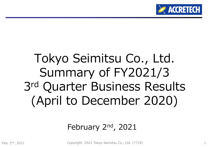

# Tokyo Seimitsu Co., Ltd. Summary of FY2021/3 3rd Quarter Business Results (April to December 2020)

## February 2<sup>nd</sup>, 2021

Copyright 2021 Tokyo Seimitsu Co., Ltd. (7729) nd, 2021 1014 1022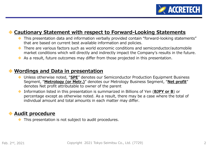

#### $\blacklozenge$ **Cautionary Statement with respect to Forward-Looking Statements**

- $\blacklozenge$  This presentation data and information verbally provided contain "forward-looking statements" that are based on current best available information and policies.
- There are various factors such as world economic conditions and semiconductor/automobile market conditions which will directly and indirectly impact the Company's results in the future.
- $\blacklozenge$ As a result, future outcomes may differ from those projected in this presentation.

#### **Wordings and Data in presentation**

- $\blacklozenge$  Unless otherwise noted, "**SPE**" denotes our Semiconductor Production Equipment Business Segment, "**Metrology (or Metr.)**" denotes our Metrology Business Segment, "**Net profit**" denotes Net profit attributable to owner of the parent
- $\bullet$  Information listed in this presentation is summarized in Billions of Yen (**BJPY or B**) or percentage except as otherwise noted. As a result, there may be a case where the total of individual amount and total amounts in each matter may differ.

#### $\blacklozenge$ **Audit procedure**

 $\blacklozenge$ This presentation is not subject to audit procedures.

 $\blacklozenge$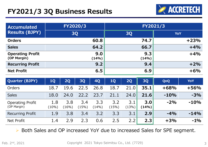## **FY2021/3 3Q Business Results**



| <b>Accumulated</b><br><b>Results (BJPY)</b> | FY2020/3     | FY2021/3     |            |  |  |  |
|---------------------------------------------|--------------|--------------|------------|--|--|--|
|                                             | <b>3Q</b>    | <b>30</b>    | <b>YoY</b> |  |  |  |
| <b>Orders</b>                               | 60.8         | 74.7         | $+23%$     |  |  |  |
| <b>Sales</b>                                | 64.2         | 66.7         | $+4%$      |  |  |  |
| <b>Operating Profit</b><br>(OP Margin)      | 9.0<br>(14%) | 9.3<br>(14%) | $+4%$      |  |  |  |
| <b>Recurring Profit</b>                     | 9.2          | 9.4          | $+2%$      |  |  |  |
| <b>Net Profit</b>                           | 6.5          | 6.9          | $+6%$      |  |  |  |

| <b>Quarter (BJPY)</b>                  | <b>1Q</b>    | 2Q           | <b>3Q</b>    | 40           | 10           | 2Q           | <b>3Q</b>    | QoQ    | <b>YoY</b> |
|----------------------------------------|--------------|--------------|--------------|--------------|--------------|--------------|--------------|--------|------------|
| Orders                                 | 18.          | 19.6         | 22.5         | 26.8         | 18.7         | 21.0         | 35.1         | $+68%$ | $+56%$     |
| <b>Sales</b>                           | 18.0         | 24.0         | 22.2         | 23.7         | 21.1         | 24.0         | 21.6         | $-10%$ | $-3%$      |
| <b>Operating Profit</b><br>(OP Margin) | 1.8<br>(10%) | 3.8<br>(16%) | 3.4<br>(15%) | 3.3<br>(14%) | 3.2<br>(15%) | 3.1<br>(13%) | 3.0<br>(14%) | $-2%$  | $-10%$     |
| <b>Recurring Profit</b>                | 1.9          | 3.8          | 3.4          | 3.2          | 3.3          | 3.1          | 2.9          | $-4%$  | $-14%$     |
| Net Profit                             | 1.4          | 2.9          | 2.3          | 0.6          | 2.5          | 2.2          | 2.3          | $+3%$  | $-1\%$     |

 $\blacktriangleright$ Both Sales and OP increased YoY due to increased Sales for SPE segment.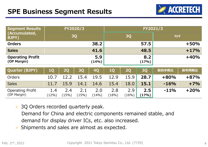

| <b>Segment Results</b>                 |                 |              | FY2020/3     |              | FY2021/3     |              |              |            |        |
|----------------------------------------|-----------------|--------------|--------------|--------------|--------------|--------------|--------------|------------|--------|
| (Accumulated,<br>BJPY)                 |                 |              | <b>3Q</b>    |              | <b>3Q</b>    |              |              | <b>YoY</b> |        |
| <b>Orders</b>                          |                 |              |              | 38.2         |              |              | 57.5         |            | $+50%$ |
| <b>Sales</b>                           |                 |              |              | 41.6         |              |              | 48.5         |            | $+17%$ |
| <b>Operating Profit</b><br>(OP Margin) |                 |              |              | 5.9<br>(14%) |              |              | 8.2<br>(17%) |            | $+40%$ |
| <b>Quarter (BJPY)</b>                  | <b>1Q</b>       | <b>2Q</b>    | 3Q           | <b>4Q</b>    | 1Q           | 2Q           | <b>3Q</b>    | 前四半期比      | 前年同期比  |
| Orders                                 | 10.7            | 12.2         | 15.4         | 19.5         | 12.9         | 15.9         | 28.7         | $+80%$     | $+87%$ |
| <b>Sales</b>                           | 11.7            | 15.9         | 14.1         | 14.6         | 15.4         | 18.0         | 15.1         | $-16%$     | $+7%$  |
| <b>Operating Profit</b><br>(OP Margin) | 1.4<br>$(12\%)$ | 2.4<br>(15%) | 2.1<br>(15%) | 2.0<br>(14%) | 2.8<br>(18%) | 2.9<br>(16%) | 2.5<br>(17%) | $-11%$     | $+20%$ |

**▶ 3Q Orders recorded quarterly peak.** 

Demand for China and electric components remained stable, and demand for display driver ICs, etc. also increased.

 $\triangleright$  Shipments and sales are almost as expected.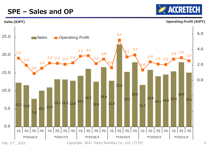### **SPE – Sales and OP**





Feb. 2<sup>nd</sup>, 2021

Copyright 2021 Tokyo Seimitsu Co., Ltd. (7729) 5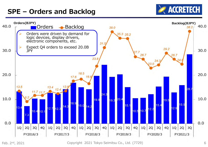## **SPE – Orders and Backlog**





Copyright 2021 Tokyo Seimitsu Co., Ltd. (7729)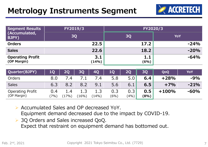## **Metrology Instruments Segment**



| Segment Results<br>(Accumulated,<br>BJPY) | FY2019/3     | FY2020/3    |            |  |  |  |
|-------------------------------------------|--------------|-------------|------------|--|--|--|
|                                           | <b>3Q</b>    | <b>3Q</b>   | <b>YoY</b> |  |  |  |
| <b>Orders</b>                             | 22.5         | 17.2        | $-24%$     |  |  |  |
| <b>Sales</b>                              | 22.6         | 18.2        | $-20%$     |  |  |  |
| <b>Operating Profit</b><br>(OP Margin)    | 3.1<br>(14%) | 1.1<br>(6%) | $-64%$     |  |  |  |

| Quarter(BJPY)                          | <b>10</b>   | <b>20</b>    | 30      | <b>40</b>    | 10          | <b>20</b>                | 30           | QoQ     | YoY    |
|----------------------------------------|-------------|--------------|---------|--------------|-------------|--------------------------|--------------|---------|--------|
| Orders                                 | 8.0         | 7.4          |         | 7.4          | 5.8         | 5.0                      | 6.4          | $+28%$  | $-9%$  |
| <b>Sales</b>                           | 6.3         |              | 8.2     | 9.1          | 5.6         | 6.1                      | 6.5          | $+7%$   | $-21%$ |
| <b>Operating Profit</b><br>(OP Margin) | 0.4<br>(7%) | 1.4<br>(17%) | $16\%)$ | ⊥⊥J<br>(14%) | 0.3<br>(6%) | 0.3 <sub>1</sub><br>(4%) | 0.5<br>(8% ) | $+100%$ | $-60%$ |

- Accumulated Sales and OP decreased YoY. Equipment demand decreased due to the impact by COVID-19.
- **▶ 3Q Orders and Sales increased QoQ.** Expect that restraint on equipment demand has bottomed out.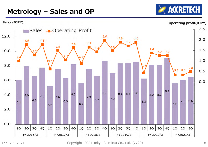# **ACCRETECH**

## **Metrology – Sales and OP**



Copyright 2021 Tokyo Seimitsu Co., Ltd. (7729)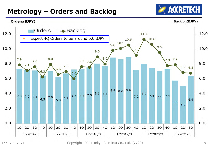### **Metrology – Orders and Backlog**





Copyright 2021 Tokyo Seimitsu Co., Ltd. (7729)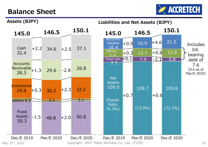#### **Balance Sheet**



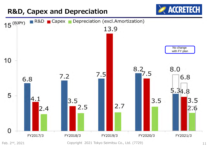

<sup>2&</sup>lt;sup>nd</sup>, 2021 **1988** 11 Copyright 2021 Tokyo Seimitsu Co., Ltd. (7729) **11** 2021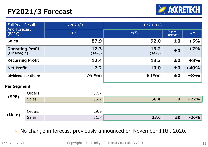## **FY2021/3 Forecast**



| <b>Full Year Results</b><br><b>And Forecast</b> |              | FY2020/3      | FY2021/3      |                      |          |
|-------------------------------------------------|--------------|---------------|---------------|----------------------|----------|
| (BJPY)                                          |              | <b>FY</b>     | FY(f)         | Vs prev.<br>Forecast | YoY      |
| <b>Sales</b>                                    |              | 87.9          | 92.0          | ±0                   | $+5%$    |
| <b>Operating Profit</b><br>(OP Margin)          |              | 12.3<br>(14%) | 13.2<br>(14%) | ±0                   | $+7%$    |
| <b>Recurring Profit</b>                         |              | 12.4          | 13.3          | ±0                   | $+8%$    |
| <b>Net Profit</b>                               |              | 7.2           | 10.0          | ±0                   | $+40%$   |
| <b>Dividend per Share</b>                       |              | <b>76 Yen</b> | 84Yen         | ±0                   | $+8$ Yen |
| Per Segment                                     |              |               |               |                      |          |
|                                                 | Orders       | 57.7          |               |                      |          |
| (SPE)                                           | <b>Sales</b> | 56.2          | 68.4          | ±0                   | $+22%$   |
|                                                 |              |               |               |                      |          |

| 'Motr | <i><u>Irdorc</u></i> | ാറ<br>--<br>____                                             |           |               |
|-------|----------------------|--------------------------------------------------------------|-----------|---------------|
|       |                      | $\begin{array}{c} \bullet \\ \bullet \\ \bullet \end{array}$ | 22<br>∠J⊤ | $\sim$ $\sim$ |

#### $\triangleright$  No change in forecast previously announced on November 11th, 2020.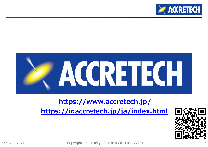



#### **https://www.accretech.jp/**

**https://ir.accretech.jp/ja/index.html**



Copyright 2021 Tokyo Seimitsu Co., Ltd. (7729) nd, 2021 13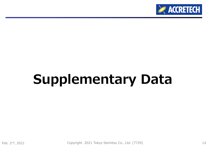

# **Supplementary Data**

Feb. 2<sup>nd</sup>, 2021

Copyright 2021 Tokyo Seimitsu Co., Ltd. (7729) nd, 2021 14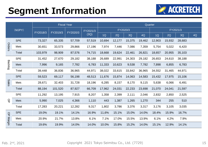# **Segment Information**



|                    |            |          | <b>Fiscal Year</b> |          |          |        |          | Quarter |        |        |          |        |    |  |
|--------------------|------------|----------|--------------------|----------|----------|--------|----------|---------|--------|--------|----------|--------|----|--|
|                    | (MJPY)     | FY2018/3 | FY2019/3           | FY2020/3 | FY2021/3 |        | FY2020/3 |         |        |        | FY2021/3 |        |    |  |
|                    |            |          |                    |          | (3Q)     | 1Q     | 2Q       | 3Q      | 4Q     | 1Q     | 2Q       | 3Q     | 4Q |  |
|                    | <b>SPE</b> | 73,327   | 65,335             | 57,709   | 57,519   | 10,694 | 12,177   | 15,375  | 19,462 | 12,903 | 15,932   | 28,683 |    |  |
| Orders             | Metr.      | 30,651   | 33,573             | 29,866   | 17,196   | 7,974  | 7,446    | 7,086   | 7,359  | 5,754  | 5,022    | 6,420  |    |  |
|                    | Total      | 103,979  | 98,909             | 87,576   | 74,715   | 18,668 | 19,624   | 22,461  | 26,821 | 18,657 | 20,955   | 35,103 |    |  |
|                    | <b>SPE</b> | 31,452   | 27,670             | 29,182   | 38,188   | 26,689 | 22,991   | 24,303  | 29,182 | 26,653 | 24,610   | 38,188 |    |  |
| <b>Backlog</b>     | Metr.      | 7,996    | 9,165              | 7,782    | 6,783    | 11,333 | 10,623   | 9,538   | 7,782  | 7,898  | 6,855    | 6,783  |    |  |
|                    | Total      | 39,448   | 36,836             | 36,965   | 44,971   | 38,022 | 33,615   | 33,842  | 36,965 | 34,552 | 31,465   | 44,971 |    |  |
|                    | <b>SPE</b> | 59,523   | 69,117             | 56,198   | 48,513   | 11,676 | 15,874   | 14,063  | 14,583 | 15,432 | 17,975   | 15,106 |    |  |
| Sales              | Metr.      | 28,671   | 32,403             | 31,728   | 18,196   | 6,285  | 8,157    | 8,170   | 9,115  | 5,638  | 6,066    | 6,491  |    |  |
|                    | Total      | 88,194   | 101,520            | 87,927   | 66,709   | 17,962 | 24,031   | 22,233  | 23,698 | 21,070 | 24,041   | 21,597 |    |  |
|                    | <b>SPE</b> | 11,292   | 13,195             | 7,915    | 8,207    | 1,358  | 2,399    | 2,111   | 2,046  | 2,832  | 2,850    | 2,525  |    |  |
| $\frac{Q}{D}$      | Metr.      | 5,990    | 7,025              | 4,366    | 1,110    | 443    | 1,387    | 1,265   | 1,270  | 344    | 255      | 510    |    |  |
|                    | Total      | 17,283   | 20,221             | 12,282   | 9,317    | 1,802  | 3,786    | 3,376   | 3,317  | 3,176  | 3,105    | 3,035  |    |  |
| $\frac{0}{\sigma}$ | <b>SPE</b> | 19.0%    | 19.1%              | 14.1%    | 16.9%    | 11,6%  | 15.1%    | 15.0%   | 14.0%  | 18.4%  | 15.9%    | 16.7%  |    |  |
|                    | Metr.      | 20.9%    | 21.7%              | 13.8%    | 6.1%     | 7.1%   | 17.0%    | 15.5%   | 13.9%  | 6.1%   | 4.2%     | 7.9%   |    |  |
| Margin             | Total      | 19.6%    | 19.9%              | 14.0%    | 14.0%    | 10.0%  | 15.8%    | 15.2%   | 14.0%  | 15.1%  | 12.9%    | 14.1%  |    |  |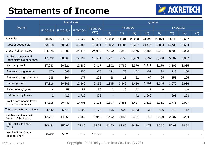# **Statements of Income**



|                                                      | <b>Fiscal Year</b> |          |          |          | Quarter        |          |        |        |                |                          |          |    |
|------------------------------------------------------|--------------------|----------|----------|----------|----------------|----------|--------|--------|----------------|--------------------------|----------|----|
| (MJPY)                                               |                    |          |          | FY2021/3 |                | FY2019/3 |        |        |                |                          | FY2020/3 |    |
|                                                      | FY2018/3           | FY2019/3 | FY2020/3 | (3Q)     | 1Q             | 2Q       | 3Q     | 4Q     | 1Q             | 2Q                       | 3Q       | 4Q |
| <b>Net Sales</b>                                     | 88,194             | 101,520  | 87,927   | 66,709   | 17,962         | 24,031   | 22,233 | 23,698 | 21,070         | 24,041                   | 21,597   |    |
| Cost of goods sold                                   | 53,818             | 60,430   | 53,452   | 41,801   | 10,862         | 14,687   | 13,357 | 14,544 | 12,863         | 15,433                   | 13,504   |    |
| <b>Gross Profit on Sales</b>                         | 34,375             | 41,090   | 34,474   | 24,908   | 7,100          | 9,344    | 8,876  | 9,154  | 8,207          | 8,608                    | 8,093    |    |
| Selling, general and<br>administrative expenses      | 17,092             | 20,869   | 22,192   | 15,591   | 5,297          | 5,557    | 5,499  | 5,837  | 5,030          | 5,502                    | 5,057    |    |
| Operating profit                                     | 17,283             | 20,221   | 12,282   | 9,317    | 1,802          | 3,786    | 3,376  | 3,317  | 3,176          | 3,105                    | 3,035    |    |
| Non-operating income                                 | 170                | 688      | 255      | 325      | 131            | 78       | 102    | $-57$  | 194            | 118                      | 106      |    |
| Non-operating expenses                               | 138                | 104      | 177      | 291      | 38             | 18       | 51     | 68     | 25             | 153                      | 205      |    |
| <b>Recurring Profit</b>                              | 17,316             | 20,805   | 12,360   | 9,352    | 1,895          | 3,846    | 3,426  | 3,191  | 3,345          | 3,070                    | 2,936    |    |
| Extraordinary gains                                  | $\overline{4}$     | 58       | 57       | 156      | $\overline{2}$ | 10       | 43     | 1      | 6              | $\overline{\phantom{a}}$ | 149      |    |
| <b>Extraordinary losses</b>                          | $\overline{2}$     | 419      | 1,712    | 402      |                |          | 42     | 1,669  | $\blacksquare$ | 293                      | 108      |    |
| Profit before income taxes<br>and minority interests | 17,318             | 20,443   | 10,705   | 9,105    | 1,897          | 3,856    | 3,427  | 1,523  | 3,351          | 2,776                    | 2,977    |    |
| Total Income tax and others                          | 4,542              | 5,719    | 3,598    | 2,172    | 505            | 1,009    | 1,153  | 930    | 886            | 573                      | 712      |    |
| Net Profit attributable to<br>Owners of the Parent   | 12,717             | 14,665   | 7,156    | 6.942    | 1,402          | 2,859    | 2,281  | 613    | 2,470          | 2,207                    | 2,264    |    |
| Net Profit per Share<br>(Yen)                        | 306.41             | 352.92   | 171.89   | 167.01   | 33.70          | 68.69    | 54.80  | 14.73  | 59.30          | 52.98                    | 54.73    |    |
| Net Profit per Share<br>(diluted) (Yen)              | 304.02             | 350.23   | 170.72   | 165.70   |                |          |        |        |                |                          |          |    |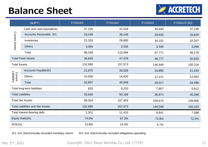# **Balance Sheet**



|                                         | (MJPY)                      | FY2018/3 | FY2019/3 | FY2020/3 | FY2021/3 (3Q) |
|-----------------------------------------|-----------------------------|----------|----------|----------|---------------|
|                                         | Cash and cash equivalents   | 37,220   | 41,518   | 34,640   | 37,146        |
|                                         | Accounts Receivable X1      | 33,439   | 36,146   | 29,633   | 26,829        |
| Current Assets                          | Inventories                 | 22,325   | 29,995   | 30,152   | 32,207        |
|                                         | <b>Others</b>               | 3,364    | 2,434    | 3,345    | 3,098         |
|                                         | Total                       | 96,349   | 110,094  | 97,771   | 99,279        |
|                                         | <b>Total Fixed Assets</b>   | 36,645   | 47,478   | 48,777   | 50,825        |
| <b>Total Assets</b>                     |                             | 132,995  | 157,573  | 146,549  | 150,104       |
|                                         | Accounts Payable X2         | 21,870   | 26,328   | 16,895   | 21,533        |
| Current<br>Liabilities                  | <b>Others</b>               | 10,936   | 14,620   | 12,121   | 12,952        |
|                                         | Total                       | 32,807   | 40,948   | 29,017   | 34,486        |
|                                         | Total long-term liabilities | 833      | 9,220    | 7,857    | 5,812         |
|                                         | <b>Total Liabilities</b>    | 33,640   | 50,169   | 36,874   | 40,298        |
|                                         | <b>Total Net Assets</b>     | 99,354   | 107,403  | 109,674  | 109,806       |
| <b>Total Liabilities and Net Assets</b> |                             | 132,995  | 157,573  | 146,549  | 150,104       |
| Total interest-bearing debt             |                             | 1,351    | 11,415   | 9,641    | 7,598         |
| Equity Ratio(%)                         |                             | 74.0%    | 67.3%    | 73.9%    | 72.2%         |
| $ROE(\% )$                              |                             | 13.8%    | 14.4%    | 6.7%     |               |

※1: Incl. Electronically recorded monetary claims ※2: Incl. Electronically recorded obligations-operating